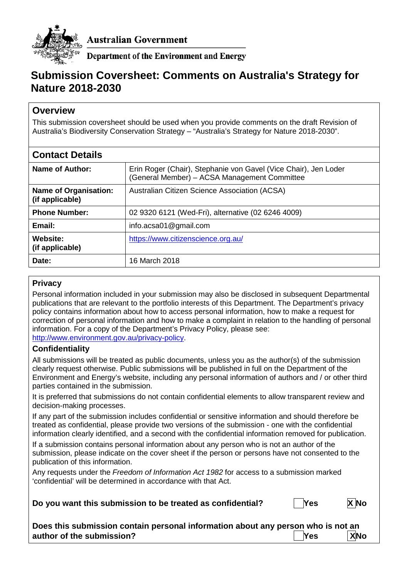

**Australian Government** 

**Department of the Environment and Energy** 

# **Submission Coversheet: Comments on Australia's Strategy for Nature 2018-2030**

# **Overview**

This submission coversheet should be used when you provide comments on the draft Revision of Australia's Biodiversity Conservation Strategy – "Australia's Strategy for Nature 2018-2030".

| <b>Contact Details</b>                          |                                                                                                                 |
|-------------------------------------------------|-----------------------------------------------------------------------------------------------------------------|
| Name of Author:                                 | Erin Roger (Chair), Stephanie von Gavel (Vice Chair), Jen Loder<br>(General Member) - ACSA Management Committee |
| <b>Name of Organisation:</b><br>(if applicable) | Australian Citizen Science Association (ACSA)                                                                   |
| <b>Phone Number:</b>                            | 02 9320 6121 (Wed-Fri), alternative (02 6246 4009)                                                              |
| Email:                                          | info.acsa01@gmail.com                                                                                           |
| Website:<br>(if applicable)                     | https://www.citizenscience.org.au/                                                                              |
| Date:                                           | 16 March 2018                                                                                                   |

## **Privacy**

Personal information included in your submission may also be disclosed in subsequent Departmental publications that are relevant to the portfolio interests of this Department. The Department's privacy policy contains information about how to access personal information, how to make a request for correction of personal information and how to make a complaint in relation to the handling of personal information. For a copy of the Department's Privacy Policy, please see: [http://www.environment.gov.au/privacy-policy.](http://www.environment.gov.au/privacy-policy)

## **Confidentiality**

All submissions will be treated as public documents, unless you as the author(s) of the submission clearly request otherwise. Public submissions will be published in full on the Department of the Environment and Energy's website, including any personal information of authors and / or other third parties contained in the submission.

It is preferred that submissions do not contain confidential elements to allow transparent review and decision-making processes.

If any part of the submission includes confidential or sensitive information and should therefore be treated as confidential, please provide two versions of the submission - one with the confidential information clearly identified, and a second with the confidential information removed for publication.

If a submission contains personal information about any person who is not an author of the submission, please indicate on the cover sheet if the person or persons have not consented to the publication of this information.

Any requests under the *Freedom of Information Act 1982* for access to a submission marked 'confidential' will be determined in accordance with that Act.

**Do you want this submission to be treated as confidential? | Yes X No** 



| Does this submission contain personal information about any person who is not an |         |            |
|----------------------------------------------------------------------------------|---------|------------|
| author of the submission?                                                        | $ $ Yes | <b>XNo</b> |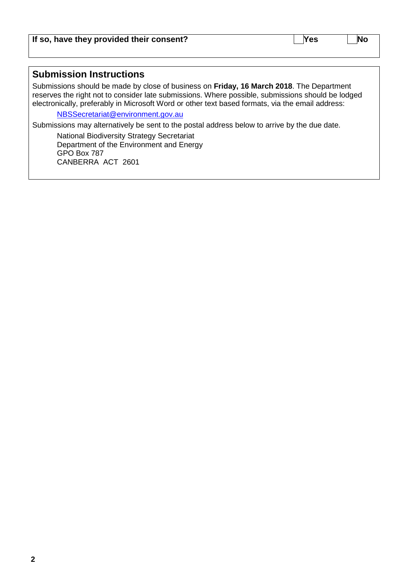## **Submission Instructions**

Submissions should be made by close of business on **Friday, 16 March 2018**. The Department reserves the right not to consider late submissions. Where possible, submissions should be lodged electronically, preferably in Microsoft Word or other text based formats, via the email address:

[NBSSecretariat@environment.gov.au](mailto:NBSSecretariat@environment.gov.au)

Submissions may alternatively be sent to the postal address below to arrive by the due date.

National Biodiversity Strategy Secretariat Department of the Environment and Energy GPO Box 787 CANBERRA ACT 2601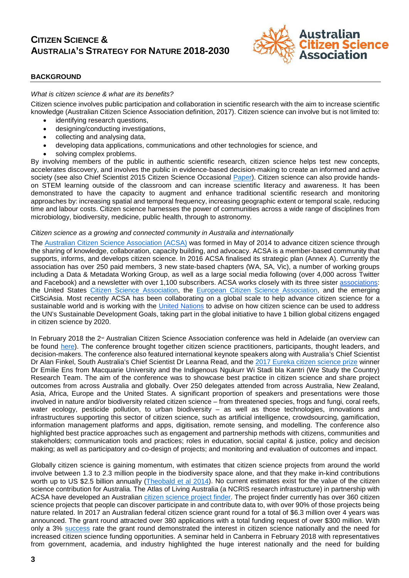# **CITIZEN SCIENCE & AUSTRALIA'S STRATEGY FOR NATURE 2018-2030**



#### **BACKGROUND**

#### *What is citizen science & what are its benefits?*

Citizen science involves public participation and collaboration in scientific research with the aim to increase scientific knowledge (Australian Citizen Science Association definition, 2017). Citizen science can involve but is not limited to:

- identifying research questions.
- designing/conducting investigations,
- collecting and analysing data,
- developing data applications, communications and other technologies for science, and
- solving complex problems.

By involving members of the public in authentic scientific research, citizen science helps test new concepts, accelerates discovery, and involves the public in evidence-based decision-making to create an informed and active society (see also Chief Scientist 2015 Citizen Science Occasional [Paper\)](http://www.chiefscientist.gov.au/2015/07/occasional-paper-building-australia-through-citizen-science/). Citizen science can also provide handson STEM learning outside of the classroom and can increase scientific literacy and awareness. It has been demonstrated to have the capacity to augment and enhance traditional scientific research and monitoring approaches by: increasing spatial and temporal frequency, increasing geographic extent or temporal scale, reducing time and labour costs. Citizen science harnesses the power of communities across a wide range of disciplines from microbiology, biodiversity, medicine, public health, through to astronomy.

#### *Citizen science as a growing and connected community in Australia and internationally*

The [Australian Citizen Science Association \(ACSA\)](https://www.citizenscience.org.au/) was formed in May of 2014 to advance citizen science through the sharing of knowledge, collaboration, capacity building, and advocacy. ACSA is a member-based community that supports, informs, and develops citizen science. In 2016 ACSA finalised its strategic plan (Annex A). Currently the association has over 250 paid members, 3 new state-based chapters (WA, SA, Vic), a number of working groups including a Data & Metadata Working Group, as well as a large social media following (over 4,000 across Twitter and Facebook) and a newsletter with over 1,100 subscribers. ACSA works closely with its three sister [associations:](https://theoryandpractice.citizenscienceassociation.org/articles/10.5334/cstp.55/) the United States [Citizen Science Association,](http://citizenscience.org/) the [European Citizen Science Association,](https://ecsa.citizen-science.net/) and the emerging CitSciAsia. Most recently ACSA has been collaborating on a global scale to help advance citizen science for a sustainable world and is working with the [United Nations](https://www.citizenscience.org.au/2018/01/17/acsa-heads-to-the-united-nations/) to advise on how citizen science can be used to address the UN's Sustainable Development Goals, taking part in the global initiative to have 1 billion global citizens engaged in citizen science by 2020.

In February 2018 the 2<sup>nd</sup> Australian Citizen Science Association conference was held in Adelaide (an overview can be found [here\)](https://www.citizenscience.org.au/2018/03/07/discover-relive-citscioz18-magic/). The conference brought together citizen science practitioners, participants, thought leaders, and decision-makers. The conference also featured international keynote speakers along with Australia's Chief Scientist Dr Alan Finkel, South Australia's Chief Scientist Dr Leanna Read, and the [2017 Eureka citizen science prize](https://australianmuseum.net.au/2017-eureka-prizes-winners) winner Dr Emilie Ens from Macquarie University and the Indigenous Ngukurr Wi Stadi bla Kantri (We Study the Country) Research Team. The aim of the conference was to showcase best practice in citizen science and share project outcomes from across Australia and globally. Over 250 delegates attended from across Australia, New Zealand, Asia, Africa, Europe and the United States. A significant proportion of speakers and presentations were those involved in nature and/or biodiversity related citizen science – from threatened species, frogs and fungi, coral reefs, water ecology, pesticide pollution, to urban biodiversity – as well as those technologies, innovations and infrastructures supporting this sector of citizen science, such as artificial intelligence, crowdsourcing, gamification, information management platforms and apps, digitisation, remote sensing, and modelling. The conference also highlighted best practice approaches such as engagement and partnership methods with citizens, communities and stakeholders; communication tools and practices; roles in education, social capital & justice, policy and decision making; as well as participatory and co-design of projects; and monitoring and evaluation of outcomes and impact.

Globally citizen science is gaining momentum, with estimates that citizen science projects from around the world involve between 1.3 to 2.3 million people in the biodiversity space alone, and that they make in-kind contributions worth up to US \$2.5 billion annually [\(Theobald et al 2014\)](https://www.sciencedirect.com/science/article/pii/S0006320714004029?via%3Dihub). No current estimates exist for the value of the citizen science contribution for Australia. The Atlas of Living Australia (a NCRIS research infrastructure) in partnership with ACSA have developed an Australian [citizen science project finder.](https://biocollect.ala.org.au/acsa#isCitizenScience%3Dtrue%26isWorldWide%3Dfalse%26max%3D20%26sort%3DdateCreatedSort) The project finder currently has over 360 citizen science projects that people can discover participate in and contribute data to, with over 90% of those projects being nature related. In 2017 an Australian federal citizen science grant round for a total of \$6.3 million over 4 years was announced. The grant round attracted over 380 applications with a total funding request of over \$300 million. With only a 3% [success](https://www.business.gov.au/Assistance/Inspiring-Australia-Science-Engagement/Citizen-Science-Grants/Citizen-Science-Grants-Grant-Recipients) rate the grant round demonstrated the interest in citizen science nationally and the need for increased citizen science funding opportunities. A seminar held in Canberra in February 2018 with representatives from government, academia, and industry highlighted the huge interest nationally and the need for building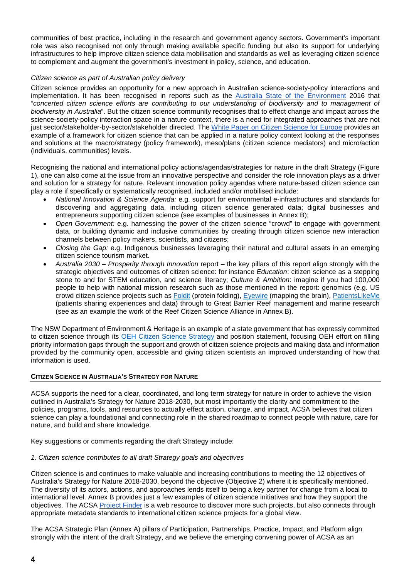communities of best practice, including in the research and government agency sectors. Government's important role was also recognised not only through making available specific funding but also its support for underlying infrastructures to help improve citizen science data mobilisation and standards as well as leveraging citizen science to complement and augment the government's investment in policy, science, and education.

#### *Citizen science as part of Australian policy delivery*

Citizen science provides an opportunity for a new approach in Australian science-society-policy interactions and implementation. It has been recognised in reports such as the [Australia State of the Environment](https://soe.environment.gov.au/) 2016 that "*concerted citizen science efforts are contributing to our understanding of biodiversity and to management of biodiversity in Australia*". But the citizen science community recognises that to effect change and impact across the science-society-policy interaction space in a nature context, there is a need for integrated approaches that are not just sector/stakeholder-by-sector/stakeholder directed. The [White Paper on Citizen Science for Europe](http://www.socientize.eu/sites/default/files/white-paper_0.pdf) provides an example of a framework for citizen science that can be applied in a nature policy context looking at the responses and solutions at the macro/strategy (policy framework), meso/plans (citizen science mediators) and micro/action (individuals, communities) levels.

Recognising the national and international policy actions/agendas/strategies for nature in the draft Strategy (Figure 1), one can also come at the issue from an innovative perspective and consider the role innovation plays as a driver and solution for a strategy for nature. Relevant innovation policy agendas where nature-based citizen science can play a role if specifically or systematically recognised, included and/or mobilised include:

- *National Innovation & Science Agenda:* e.g. support for environmental e-infrastructures and standards for discovering and aggregating data, including citizen science generated data; digital businesses and entrepreneurs supporting citizen science (see examples of businesses in Annex B);
- *Open Government:* e.g. harnessing the power of the citizen science "crowd" to engage with government data, or building dynamic and inclusive communities by creating through citizen science new interaction channels between policy makers, scientists, and citizens;
- *Closing the Gap:* e.g. Indigenous businesses leveraging their natural and cultural assets in an emerging citizen science tourism market.
- *Australia 2030 – Prosperity through Innovation* report the key pillars of this report align strongly with the strategic objectives and outcomes of citizen science: for instance *Education*: citizen science as a stepping stone to and for STEM education, and science literacy; *Culture & Ambition*: imagine if you had 100,000 people to help with national mission research such as those mentioned in the report: genomics (e.g. US crowd citizen science projects such as [Foldit](http://fold.it/portal/info/about) (protein folding), [Eyewire](https://eyewire.org/explore) (mapping the brain), [PatientsLikeMe](https://www.patientslikeme.com/about) (patients sharing experiences and data) through to Great Barrier Reef management and marine research (see as an example the work of the Reef Citizen Science Alliance in Annex B).

The NSW Department of Environment & Heritage is an example of a state government that has expressly committed to citizen science through its [OEH Citizen Science Strategy](http://www.environment.nsw.gov.au/research-and-publications/your-research/citizen-science/about-citizen-science) and position statement, focusing OEH effort on filling priority information gaps through the support and growth of citizen science projects and making data and information provided by the community open, accessible and giving citizen scientists an improved understanding of how that information is used.

#### **CITIZEN SCIENCE IN AUSTRALIA'S STRATEGY FOR NATURE**

ACSA supports the need for a clear, coordinated, and long term strategy for nature in order to achieve the vision outlined in Australia's Strategy for Nature 2018-2030, but most importantly the clarity and commitment to the policies, programs, tools, and resources to actually effect action, change, and impact. ACSA believes that citizen science can play a foundational and connecting role in the shared roadmap to connect people with nature, care for nature, and build and share knowledge.

Key suggestions or comments regarding the draft Strategy include:

*1. Citizen science contributes to all draft Strategy goals and objectives*

Citizen science is and continues to make valuable and increasing contributions to meeting the 12 objectives of Australia's Strategy for Nature 2018-2030, beyond the objective (Objective 2) where it is specifically mentioned. The diversity of its actors, actions, and approaches lends itself to being a key partner for change from a local to international level. Annex B provides just a few examples of citizen science initiatives and how they support the objectives. The ACSA [Project Finder](https://www.citizenscience.org.au/ala-project-finder/) is a web resource to discover more such projects, but also connects through appropriate metadata standards to international citizen science projects for a global view.

The ACSA Strategic Plan (Annex A) pillars of Participation, Partnerships, Practice, Impact, and Platform align strongly with the intent of the draft Strategy, and we believe the emerging convening power of ACSA as an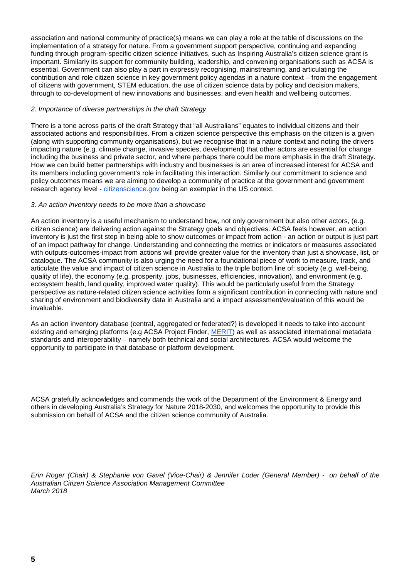association and national community of practice(s) means we can play a role at the table of discussions on the implementation of a strategy for nature. From a government support perspective, continuing and expanding funding through program-specific citizen science initiatives, such as Inspiring Australia's citizen science grant is important. Similarly its support for community building, leadership, and convening organisations such as ACSA is essential. Government can also play a part in expressly recognising, mainstreaming, and articulating the contribution and role citizen science in key government policy agendas in a nature context – from the engagement of citizens with government, STEM education, the use of citizen science data by policy and decision makers, through to co-development of new innovations and businesses, and even health and wellbeing outcomes.

### *2. Importance of diverse partnerships in the draft Strategy*

There is a tone across parts of the draft Strategy that "all Australians" equates to individual citizens and their associated actions and responsibilities. From a citizen science perspective this emphasis on the citizen is a given (along with supporting community organisations), but we recognise that in a nature context and noting the drivers impacting nature (e.g. climate change, invasive species, development) that other actors are essential for change including the business and private sector, and where perhaps there could be more emphasis in the draft Strategy. How we can build better partnerships with industry and businesses is an area of increased interest for ACSA and its members including government's role in facilitating this interaction. Similarly our commitment to science and policy outcomes means we are aiming to develop a community of practice at the government and government research agency level - [citizenscience.gov](https://www.citizenscience.gov/) being an exemplar in the US context.

#### *3. An action inventory needs to be more than a showcase*

An action inventory is a useful mechanism to understand how, not only government but also other actors, (e.g. citizen science) are delivering action against the Strategy goals and objectives. ACSA feels however, an action inventory is just the first step in being able to show outcomes or impact from action - an action or output is just part of an impact pathway for change. Understanding and connecting the metrics or indicators or measures associated with outputs-outcomes-impact from actions will provide greater value for the inventory than just a showcase, list, or catalogue. The ACSA community is also urging the need for a foundational piece of work to measure, track, and articulate the value and impact of citizen science in Australia to the triple bottom line of: society (e.g. well-being, quality of life), the economy (e.g. prosperity, jobs, businesses, efficiencies, innovation), and environment (e.g. ecosystem health, land quality, improved water quality). This would be particularly useful from the Strategy perspective as nature-related citizen science activities form a significant contribution in connecting with nature and sharing of environment and biodiversity data in Australia and a impact assessment/evaluation of this would be invaluable.

As an action inventory database (central, aggregated or federated?) is developed it needs to take into account existing and emerging platforms (e.g ACSA Project Finder, [MERIT\)](https://fieldcapture.ala.org.au/) as well as associated international metadata standards and interoperability – namely both technical and social architectures. ACSA would welcome the opportunity to participate in that database or platform development.

ACSA gratefully acknowledges and commends the work of the Department of the Environment & Energy and others in developing Australia's Strategy for Nature 2018-2030, and welcomes the opportunity to provide this submission on behalf of ACSA and the citizen science community of Australia.

*Erin Roger (Chair) & Stephanie von Gavel (Vice-Chair) & Jennifer Loder (General Member) - on behalf of the Australian Citizen Science Association Management Committee March 2018*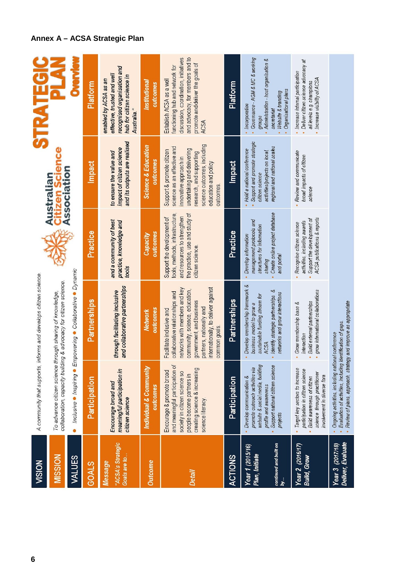| <b>VISION</b>                                                      |                                                                                                                                                                                    | A community that supports, informs and develops citizen science.                                                                                                                                                                               |                                                                                                                                                    |                                                                                                                                                                                                                 | <b>STRATEGI</b>                                                                                                                                                                      |
|--------------------------------------------------------------------|------------------------------------------------------------------------------------------------------------------------------------------------------------------------------------|------------------------------------------------------------------------------------------------------------------------------------------------------------------------------------------------------------------------------------------------|----------------------------------------------------------------------------------------------------------------------------------------------------|-----------------------------------------------------------------------------------------------------------------------------------------------------------------------------------------------------------------|--------------------------------------------------------------------------------------------------------------------------------------------------------------------------------------|
| MISSION                                                            |                                                                                                                                                                                    | collaboration, capacity building & advocacy for citizen science.<br>To advance citizen science through sharing of knowledge,                                                                                                                   |                                                                                                                                                    | <b>Citizen Scie</b><br>Association<br>Australian                                                                                                                                                                |                                                                                                                                                                                      |
| <b>VALUES</b>                                                      | Inclusive Inspiring • Er<br>$\bullet$                                                                                                                                              | mpowering ● Collaborative ● Dynamic                                                                                                                                                                                                            |                                                                                                                                                    |                                                                                                                                                                                                                 |                                                                                                                                                                                      |
| <b>GOALS</b>                                                       | Participation                                                                                                                                                                      | Partnerships                                                                                                                                                                                                                                   | Practice                                                                                                                                           | <b>Impact</b>                                                                                                                                                                                                   | Platform                                                                                                                                                                             |
| "ACSA's Strategic<br>Goals are to<br>Message                       | meaningful participation in<br>Encourage broad and<br>citizen science                                                                                                              | and collaborative partnerships<br>through facilitating inclusive                                                                                                                                                                               | and a community of best<br>practice, knowledge and<br>tools                                                                                        | and its outputs are realised<br>impact of citizen science<br>to ensure the value and                                                                                                                            | recognised organisation and<br>effective, trusted and well<br>hub for citizen science in<br>enabled by ACSA as an<br>Australia."                                                     |
| <b>Outcome</b>                                                     | Individual & Community<br>outcomes                                                                                                                                                 | outcomes<br>Network                                                                                                                                                                                                                            | outcomes<br>Capacity                                                                                                                               | <b>Science &amp; Education</b><br>outcomes                                                                                                                                                                      | Institutional<br>outcomes                                                                                                                                                            |
| Detail                                                             | and meaningful participation of<br>creating science & increasing<br>Encourage & promote broad<br>society in citizen science so<br>people become partners in<br>science literacy    | internationally, to deliver against<br>networks with members and key<br>community, science, education,<br>collaborative relationships and<br>government, and business<br>partners, nationally and<br>Facilitate inclusive and<br>common goals. | the practice, use and study of<br>tools, methods, infrastructure,<br>and resources to strengthen<br>Support the development of<br>citizen science. | science outcomes, including<br>science as an effective and<br>undertaking and delivering<br>Support & promote citizen<br>research, and supporting<br>innovative approach in<br>education and policy<br>outcomes | discussion, coordination, initiatives<br>and advocacy, for members and to<br>promote and deliver the goals of<br>functioning hub and network for<br>Establish ACSA as a well<br>ACSA |
| <b>ACTIONS</b>                                                     | Participation                                                                                                                                                                      | <b>Partnerships</b>                                                                                                                                                                                                                            | Practice                                                                                                                                           | <b>Impact</b>                                                                                                                                                                                                   | Platform                                                                                                                                                                             |
| continued and built on<br>Year 1 (2015/16)<br>Plan, Initiate<br>by | website & social media, building<br>Support national citizen science<br>promote outreach activities via<br>Develop communication &<br>profile and awareness<br>projects            | Develop membership framework &<br>Identify strategic partnerships &<br>networks and grow interactions<br>sustainable funding stream for<br>business model to grow a<br>ACSA                                                                    | Create online project database<br>management protocols and<br>structures for information<br>Develop information<br>and portal<br>sharing           | Support and promote strategic<br>regional and national scales<br>Hold a national conference<br>activities/projects on local<br>citizen science                                                                  | Governance - AGM & MC & working<br>Administration - host organisation &<br>Organisational plans<br>Website & branding<br>Incorporation<br>secretariat<br>groups                      |
| Year 2 (2016/17)<br>Build, Grow                                    | Target key sectors to increase<br>participation in citizen science<br>science through practitioner<br>involvement in diverse fora<br>Build awareness of citizen                    | grow international collaborations<br>Build external partnerships<br>Grow membership base &<br>interaction                                                                                                                                      | ACSA publications & reports<br>Support the development of<br>activities, including awards<br>Recognise citizen science                             | Review and communicate<br>broad impacts of citizen<br>science                                                                                                                                                   | De liver citizen science advocacy at<br>Increase internal participation<br>Increase visibility of ACSA<br>all levels e.g. champions                                                  |
| Deliver, Evaluate<br>Year 3 (2017/18)                              | Evaluation of activities, including identification of gaps.<br>Review of plans, approach, strategy and improve as appropriate<br>Ongoing activities, including national conference |                                                                                                                                                                                                                                                |                                                                                                                                                    |                                                                                                                                                                                                                 |                                                                                                                                                                                      |

# **Annex A – ACSA Strategic Plan**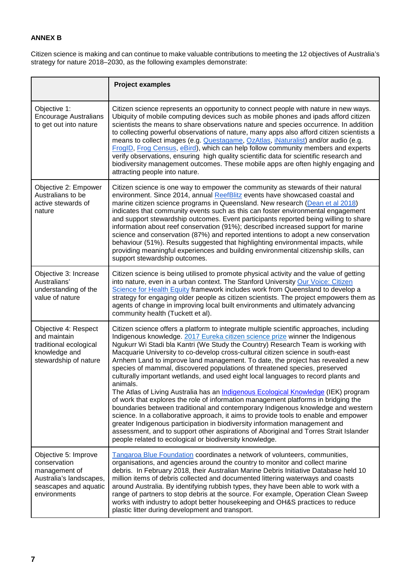## **ANNEX B**

Citizen science is making and can continue to make valuable contributions to meeting the 12 objectives of Australia's strategy for nature 2018–2030, as the following examples demonstrate:

|                                                                                                                           | <b>Project examples</b>                                                                                                                                                                                                                                                                                                                                                                                                                                                                                                                                                                                                                                                                                                                                                                                                                                                                                                                                                                                                                                                                                                                                                                                        |
|---------------------------------------------------------------------------------------------------------------------------|----------------------------------------------------------------------------------------------------------------------------------------------------------------------------------------------------------------------------------------------------------------------------------------------------------------------------------------------------------------------------------------------------------------------------------------------------------------------------------------------------------------------------------------------------------------------------------------------------------------------------------------------------------------------------------------------------------------------------------------------------------------------------------------------------------------------------------------------------------------------------------------------------------------------------------------------------------------------------------------------------------------------------------------------------------------------------------------------------------------------------------------------------------------------------------------------------------------|
| Objective 1:<br><b>Encourage Australians</b><br>to get out into nature                                                    | Citizen science represents an opportunity to connect people with nature in new ways.<br>Ubiquity of mobile computing devices such as mobile phones and ipads afford citizen<br>scientists the means to share observations nature and species occurrence. In addition<br>to collecting powerful observations of nature, many apps also afford citizen scientists a<br>means to collect images (e.g. Questagame, OzAtlas, iNaturalist) and/or audio (e.g.<br>FrogID, Frog Census, eBird), which can help follow community members and experts<br>verify observations, ensuring high quality scientific data for scientific research and<br>biodiversity management outcomes. These mobile apps are often highly engaging and<br>attracting people into nature.                                                                                                                                                                                                                                                                                                                                                                                                                                                   |
| Objective 2: Empower<br>Australians to be<br>active stewards of<br>nature                                                 | Citizen science is one way to empower the community as stewards of their natural<br>environment. Since 2014, annual ReefBlitz events have showcased coastal and<br>marine citizen science programs in Queensland. New research (Dean et al 2018)<br>indicates that community events such as this can foster environmental engagement<br>and support stewardship outcomes. Event participants reported being willing to share<br>information about reef conservation (91%); described increased support for marine<br>science and conservation (87%) and reported intentions to adopt a new conservation<br>behaviour (51%). Results suggested that highlighting environmental impacts, while<br>providing meaningful experiences and building environmental citizenship skills, can<br>support stewardship outcomes.                                                                                                                                                                                                                                                                                                                                                                                           |
| Objective 3: Increase<br>Australians'<br>understanding of the<br>value of nature                                          | Citizen science is being utilised to promote physical activity and the value of getting<br>into nature, even in a urban context. The Stanford University Our Voice: Citizen<br>Science for Health Equity framework includes work from Queensland to develop a<br>strategy for engaging older people as citizen scientists. The project empowers them as<br>agents of change in improving local built environments and ultimately advancing<br>community health (Tuckett et al).                                                                                                                                                                                                                                                                                                                                                                                                                                                                                                                                                                                                                                                                                                                                |
| Objective 4: Respect<br>and maintain<br>traditional ecological<br>knowledge and<br>stewardship of nature                  | Citizen science offers a platform to integrate multiple scientific approaches, including<br>Indigenous knowledge. 2017 Eureka citizen science prize winner the Indigenous<br>Ngukurr Wi Stadi bla Kantri (We Study the Country) Research Team is working with<br>Macquarie University to co-develop cross-cultural citizen science in south-east<br>Arnhem Land to improve land management. To date, the project has revealed a new<br>species of mammal, discovered populations of threatened species, preserved<br>culturally important wetlands, and used eight local languages to record plants and<br>animals.<br>The Atlas of Living Australia has an Indigenous Ecological Knowledge (IEK) program<br>of work that explores the role of information management platforms in bridging the<br>boundaries between traditional and contemporary Indigenous knowledge and western<br>science. In a collaborative approach, it aims to provide tools to enable and empower<br>greater Indigenous participation in biodiversity information management and<br>assessment, and to support other aspirations of Aboriginal and Torres Strait Islander<br>people related to ecological or biodiversity knowledge. |
| Objective 5: Improve<br>conservation<br>management of<br>Australia's landscapes,<br>seascapes and aquatic<br>environments | Tangaroa Blue Foundation coordinates a network of volunteers, communities,<br>organisations, and agencies around the country to monitor and collect marine<br>debris. In February 2018, their Australian Marine Debris Initiative Database held 10<br>million items of debris collected and documented littering waterways and coasts<br>around Australia. By identifying rubbish types, they have been able to work with a<br>range of partners to stop debris at the source. For example, Operation Clean Sweep<br>works with industry to adopt better housekeeping and OH&S practices to reduce<br>plastic litter during development and transport.                                                                                                                                                                                                                                                                                                                                                                                                                                                                                                                                                         |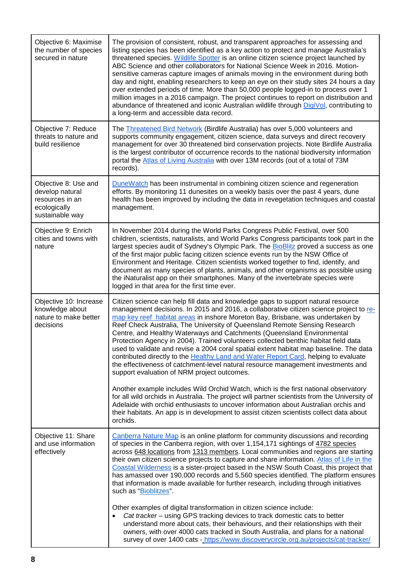| Objective 6: Maximise<br>the number of species<br>secured in nature                           | The provision of consistent, robust, and transparent approaches for assessing and<br>listing species has been identified as a key action to protect and manage Australia's<br>threatened species. Wildlife Spotter is an online citizen science project launched by<br>ABC Science and other collaborators for National Science Week in 2016. Motion-<br>sensitive cameras capture images of animals moving in the environment during both<br>day and night, enabling researchers to keep an eye on their study sites 24 hours a day<br>over extended periods of time. More than 50,000 people logged-in to process over 1<br>million images in a 2016 campaign. The project continues to report on distribution and<br>abundance of threatened and iconic Australian wildlife through DigiVol, contributing to<br>a long-term and accessible data record.                                                                                                                                                                                                                                                      |
|-----------------------------------------------------------------------------------------------|-----------------------------------------------------------------------------------------------------------------------------------------------------------------------------------------------------------------------------------------------------------------------------------------------------------------------------------------------------------------------------------------------------------------------------------------------------------------------------------------------------------------------------------------------------------------------------------------------------------------------------------------------------------------------------------------------------------------------------------------------------------------------------------------------------------------------------------------------------------------------------------------------------------------------------------------------------------------------------------------------------------------------------------------------------------------------------------------------------------------|
| Objective 7: Reduce<br>threats to nature and<br>build resilience                              | The Threatened Bird Network (Birdlife Australia) has over 5,000 volunteers and<br>supports community engagement, citizen science, data surveys and direct recovery<br>management for over 30 threatened bird conservation projects. Note Birdlife Australia<br>is the largest contributor of occurrence records to the national biodiversity information<br>portal the Atlas of Living Australia with over 13M records (out of a total of 73M<br>records).                                                                                                                                                                                                                                                                                                                                                                                                                                                                                                                                                                                                                                                      |
| Objective 8: Use and<br>develop natural<br>resources in an<br>ecologically<br>sustainable way | DuneWatch has been instrumental in combining citizen science and regeneration<br>efforts. By monitoring 11 dunesites on a weekly basis over the past 4 years, dune<br>health has been improved by including the data in revegetation techniques and coastal<br>management.                                                                                                                                                                                                                                                                                                                                                                                                                                                                                                                                                                                                                                                                                                                                                                                                                                      |
| Objective 9: Enrich<br>cities and towns with<br>nature                                        | In November 2014 during the World Parks Congress Public Festival, over 500<br>children, scientists, naturalists, and World Parks Congress participants took part in the<br>largest species audit of Sydney's Olympic Park. The BioBlitz proved a success as one<br>of the first major public facing citizen science events run by the NSW Office of<br>Environment and Heritage. Citizen scientists worked together to find, identify, and<br>document as many species of plants, animals, and other organisms as possible using<br>the iNaturalist app on their smartphones. Many of the invertebrate species were<br>logged in that area for the first time ever.                                                                                                                                                                                                                                                                                                                                                                                                                                             |
| Objective 10: Increase<br>knowledge about<br>nature to make better<br>decisions               | Citizen science can help fill data and knowledge gaps to support natural resource<br>management decisions. In 2015 and 2016, a collaborative citizen science project to re-<br>map key reef habitat areas in inshore Moreton Bay, Brisbane, was undertaken by<br>Reef Check Australia, The University of Queensland Remote Sensing Research<br>Centre, and Healthy Waterways and Catchments (Queensland Environmental<br>Protection Agency in 2004). Trained volunteers collected benthic habitat field data<br>used to validate and revise a 2004 coral spatial extent habitat map baseline. The data<br>contributed directly to the Healthy Land and Water Report Card, helping to evaluate<br>the effectiveness of catchment-level natural resource management investments and<br>support evaluation of NRM project outcomes.<br>Another example includes Wild Orchid Watch, which is the first national observatory<br>for all wild orchids in Australia. The project will partner scientists from the University of<br>Adelaide with orchid enthusiasts to uncover information about Australian orchis and |
|                                                                                               | their habitats. An app is in development to assist citizen scientists collect data about<br>orchids.                                                                                                                                                                                                                                                                                                                                                                                                                                                                                                                                                                                                                                                                                                                                                                                                                                                                                                                                                                                                            |
| Objective 11: Share<br>and use information<br>effectively                                     | Canberra Nature Map is an online platform for community discussions and recording<br>of species in the Canberra region, with over 1,154,171 sightings of 4782 species<br>across 648 locations from 1313 members. Local communities and regions are starting<br>their own citizen science projects to capture and share information. Atlas of Life in the<br>Coastal Wilderness is a sister-project based in the NSW South Coast, this project that<br>has amassed over 190,000 records and 5,560 species identified. The platform ensures<br>that information is made available for further research, including through initiatives<br>such as "Bioblitzes".<br>Other examples of digital transformation in citizen science include:<br>Cat tracker – using GPS tracking devices to track domestic cats to better<br>$\bullet$                                                                                                                                                                                                                                                                                  |
|                                                                                               | understand more about cats, their behaviours, and their relationships with their<br>owners, with over 4000 cats tracked in South Australia, and plans for a national<br>survey of over 1400 cats - https://www.discoverycircle.org.au/projects/cat-tracker/                                                                                                                                                                                                                                                                                                                                                                                                                                                                                                                                                                                                                                                                                                                                                                                                                                                     |